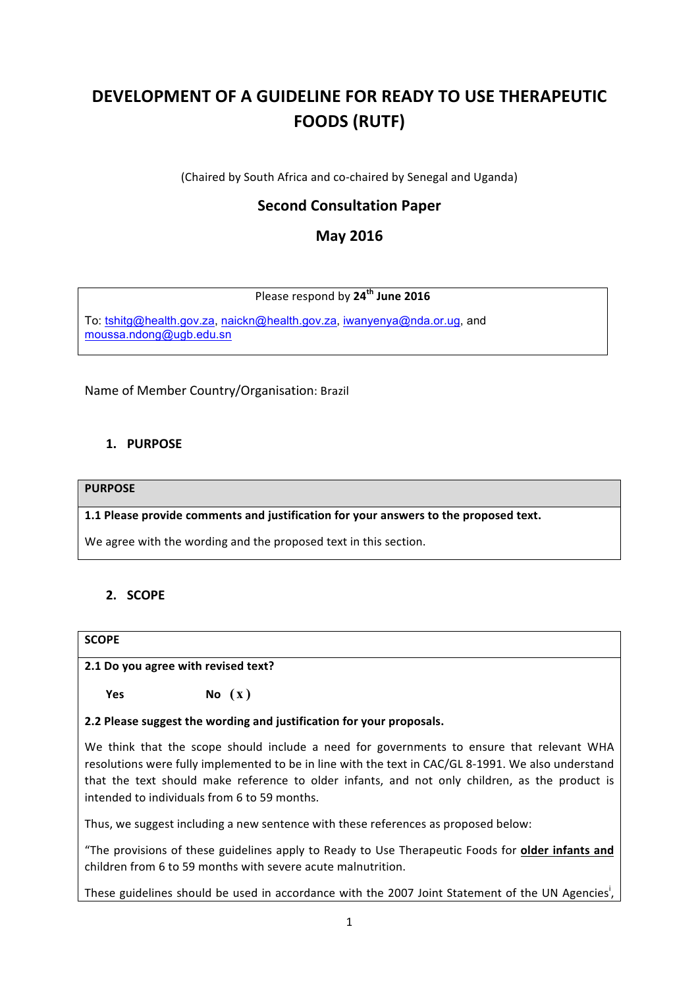# **DEVELOPMENT OF A GUIDELINE FOR READY TO USE THERAPEUTIC FOODS (RUTF)**

(Chaired by South Africa and co-chaired by Senegal and Uganda)

# **Second Consultation Paper**

# **May 2016**

# Please respond by **24th June 2016**

To: [tshitg@health.gov.za](mailto:tshitg@health.gov.za), [naickn@health.gov.za](mailto:naickn@health.gov.za), [iwanyenya@nda.or.ug](mailto:iwanyenya@nda.or.ug), and [moussa.ndong@ugb.edu.sn](mailto:moussa.ndong@ugb.edu.sn)

Name of Member Country/Organisation: Brazil

# **1. PURPOSE**

#### **PURPOSE**

1.1 Please provide comments and justification for your answers to the proposed text.

We agree with the wording and the proposed text in this section.

# **2. SCOPE**

## **SCOPE**

#### **2.1 Do you agree with revised text?**

**Yes No (x)** 

## **2.2 Please suggest the wording and justification for your proposals.**

We think that the scope should include a need for governments to ensure that relevant WHA resolutions were fully implemented to be in line with the text in CAC/GL 8-1991. We also understand that the text should make reference to older infants, and not only children, as the product is intended to individuals from 6 to 59 months.

Thus, we suggest including a new sentence with these references as proposed below:

"The provisions of these guidelines apply to Ready to Use Therapeutic Foods for older infants and children from 6 to 59 months with severe acute malnutrition.

These guidelines should be used in accordance with the 2007 Joint Statement of the UN Agencies<sup>i</sup>,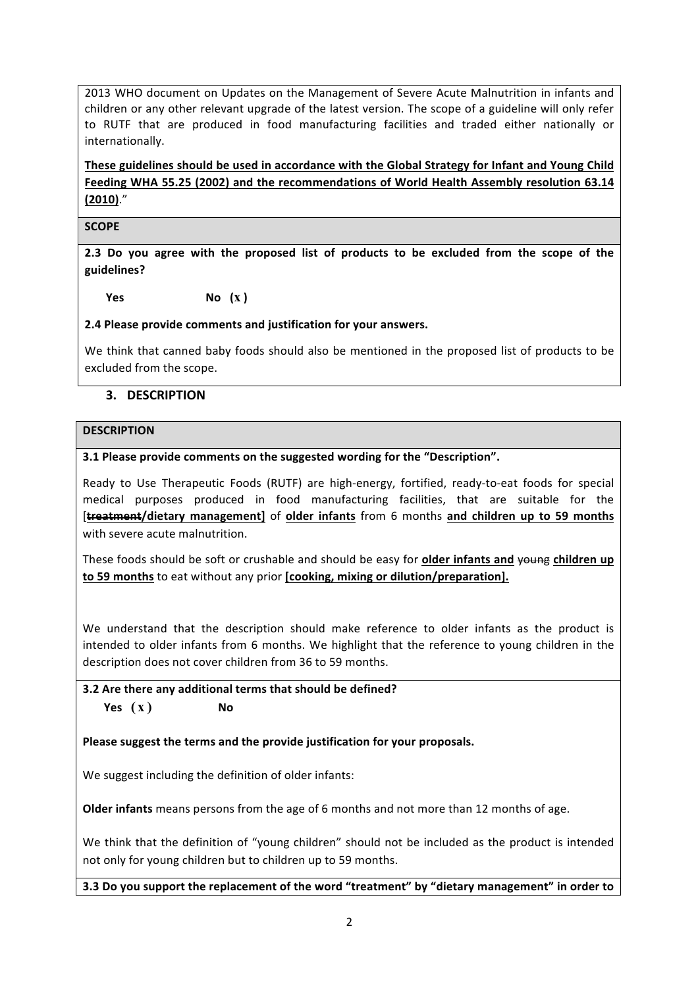2013 WHO document on Updates on the Management of Severe Acute Malnutrition in infants and children or any other relevant upgrade of the latest version. The scope of a guideline will only refer to RUTF that are produced in food manufacturing facilities and traded either nationally or internationally. 

These guidelines should be used in accordance with the Global Strategy for Infant and Young Child Feeding WHA 55.25 (2002) and the recommendations of World Health Assembly resolution 63.14 **(2010)**."

**SCOPE**

**2.3** Do you agree with the proposed list of products to be excluded from the scope of the **guidelines?**

**Yes No (x )**

**2.4 Please provide comments and justification for your answers.**

We think that canned baby foods should also be mentioned in the proposed list of products to be excluded from the scope.

## **3. DESCRIPTION**

#### **DESCRIPTION**

#### **3.1 Please provide comments on the suggested wording for the "Description".**

Ready to Use Therapeutic Foods (RUTF) are high-energy, fortified, ready-to-eat foods for special medical purposes produced in food manufacturing facilities, that are suitable for the [**treatment/dietary management]** of **older infants** from 6 months **and children up to 59 months** with severe acute malnutrition.

These foods should be soft or crushable and should be easy for **older infants and young children up to 59 months** to eat without any prior **[cooking, mixing or dilution/preparation].** 

We understand that the description should make reference to older infants as the product is intended to older infants from 6 months. We highlight that the reference to young children in the description does not cover children from 36 to 59 months.

# **3.2** Are there any additional terms that should be defined?  $Yes(X)$  No

## Please suggest the terms and the provide justification for your proposals.

We suggest including the definition of older infants:

**Older infants** means persons from the age of 6 months and not more than 12 months of age.

We think that the definition of "young children" should not be included as the product is intended not only for young children but to children up to 59 months.

**3.3** Do you support the replacement of the word "treatment" by "dietary management" in order to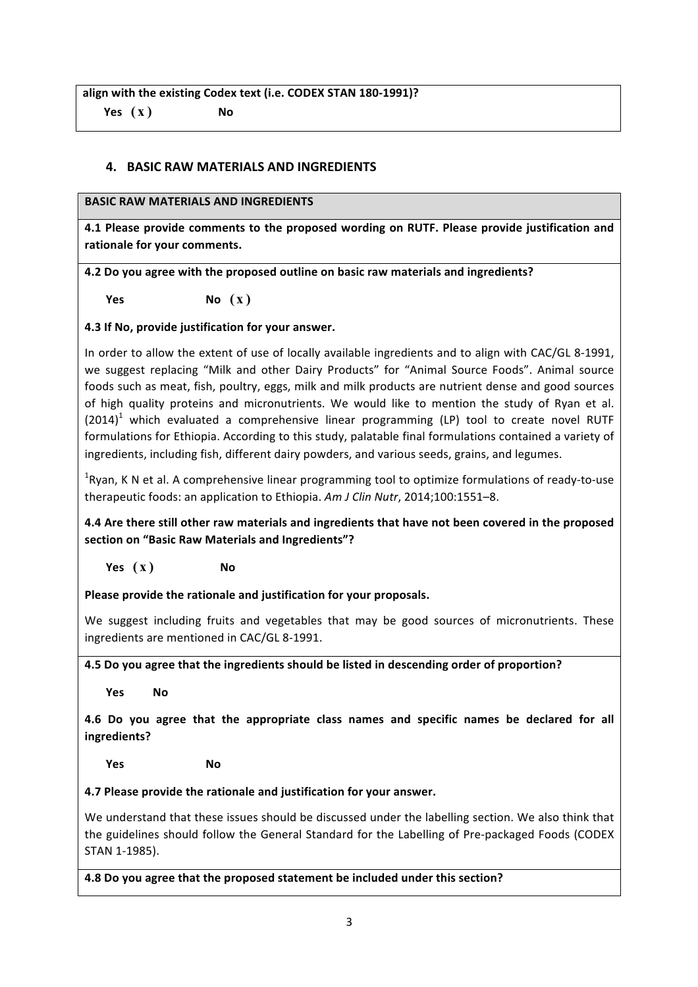align with the existing Codex text (i.e. CODEX STAN 180-1991)?  $Yes(X)$  No

# **4. BASIC RAW MATERIALS AND INGREDIENTS**

## **BASIC RAW MATERIALS AND INGREDIENTS**

4.1 Please provide comments to the proposed wording on RUTF. Please provide justification and rationale for your comments.

**4.2** Do you agree with the proposed outline on basic raw materials and ingredients?

**Yes**  $\mathbb{N}$ **O**  $(\mathbf{x})$ 

# **4.3 If No, provide justification for your answer.**

In order to allow the extent of use of locally available ingredients and to align with CAC/GL 8-1991, we suggest replacing "Milk and other Dairy Products" for "Animal Source Foods". Animal source foods such as meat, fish, poultry, eggs, milk and milk products are nutrient dense and good sources of high quality proteins and micronutrients. We would like to mention the study of Ryan et al.  $(2014)^1$  which evaluated a comprehensive linear programming (LP) tool to create novel RUTF formulations for Ethiopia. According to this study, palatable final formulations contained a variety of ingredients, including fish, different dairy powders, and various seeds, grains, and legumes.

 ${}^{1}$ Ryan, K N et al. A comprehensive linear programming tool to optimize formulations of ready-to-use therapeutic foods: an application to Ethiopia. Am J Clin Nutr, 2014;100:1551–8.

4.4 Are there still other raw materials and ingredients that have not been covered in the proposed section on "Basic Raw Materials and Ingredients"?

 $Yes(X)$  No

Please provide the rationale and justification for your proposals.

We suggest including fruits and vegetables that may be good sources of micronutrients. These ingredients are mentioned in CAC/GL 8-1991.

**4.5** Do you agree that the ingredients should be listed in descending order of proportion?

**Yes No** 

**4.6** Do you agree that the appropriate class names and specific names be declared for all **ingredients?**

**Yes No** 

## **4.7 Please provide the rationale and justification for your answer.**

We understand that these issues should be discussed under the labelling section. We also think that the guidelines should follow the General Standard for the Labelling of Pre-packaged Foods (CODEX STAN 1-1985).

**4.8** Do you agree that the proposed statement be included under this section?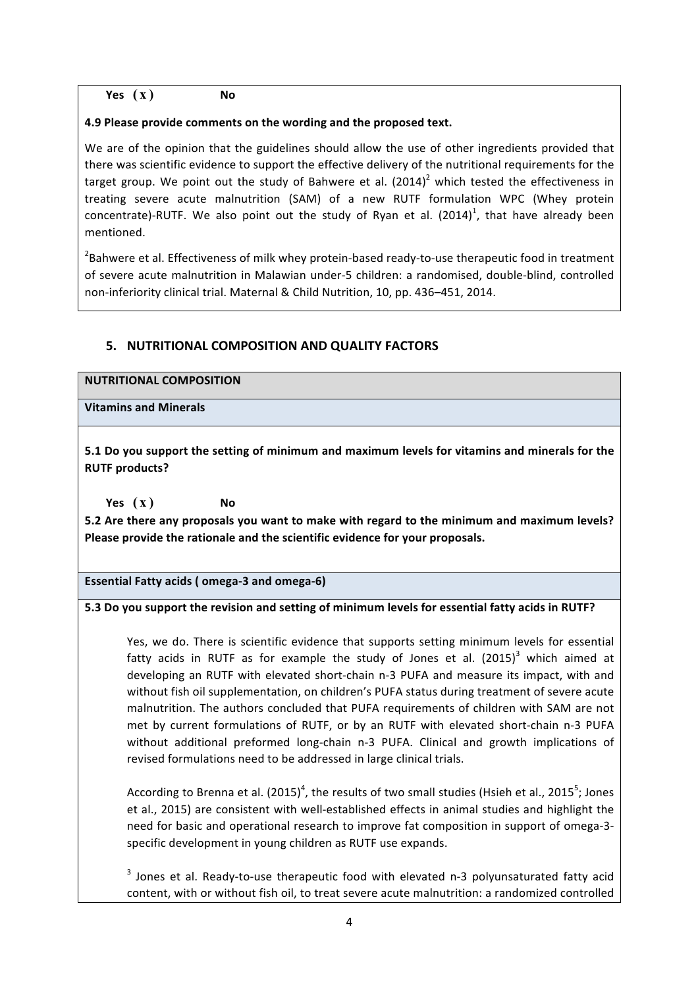# $Yes(X)$  No

#### **4.9 Please provide comments on the wording and the proposed text.**

We are of the opinion that the guidelines should allow the use of other ingredients provided that there was scientific evidence to support the effective delivery of the nutritional requirements for the target group. We point out the study of Bahwere et al.  $(2014)^2$  which tested the effectiveness in treating severe acute malnutrition (SAM) of a new RUTF formulation WPC (Whey protein concentrate)-RUTF. We also point out the study of Ryan et al. (2014)<sup>1</sup>, that have already been mentioned.

 $^{2}$ Bahwere et al. Effectiveness of milk whey protein-based ready-to-use therapeutic food in treatment of severe acute malnutrition in Malawian under-5 children: a randomised, double-blind, controlled non-inferiority clinical trial. Maternal & Child Nutrition, 10, pp. 436-451, 2014.

# **5. NUTRITIONAL COMPOSITION AND QUALITY FACTORS**

#### **NUTRITIONAL COMPOSITION**

**Vitamins and Minerals**

**5.1** Do you support the setting of minimum and maximum levels for vitamins and minerals for the **RUTF** products?

 $Yes(X)$  No

5.2 Are there any proposals you want to make with regard to the minimum and maximum levels? Please provide the rationale and the scientific evidence for your proposals.

Essential Fatty acids (omega-3 and omega-6)

## **5.3** Do you support the revision and setting of minimum levels for essential fatty acids in RUTF?

Yes, we do. There is scientific evidence that supports setting minimum levels for essential fatty acids in RUTF as for example the study of Jones et al.  $(2015)^3$  which aimed at developing an RUTF with elevated short-chain n-3 PUFA and measure its impact, with and without fish oil supplementation, on children's PUFA status during treatment of severe acute malnutrition. The authors concluded that PUFA requirements of children with SAM are not met by current formulations of RUTF, or by an RUTF with elevated short-chain n-3 PUFA without additional preformed long-chain n-3 PUFA. Clinical and growth implications of revised formulations need to be addressed in large clinical trials.

According to Brenna et al. (2015)<sup>4</sup>, the results of two small studies (Hsieh et al., 2015<sup>5</sup>; Jones et al., 2015) are consistent with well-established effects in animal studies and highlight the need for basic and operational research to improve fat composition in support of omega-3specific development in young children as RUTF use expands.

 $3$  Jones et al. Ready-to-use therapeutic food with elevated n-3 polyunsaturated fatty acid content, with or without fish oil, to treat severe acute malnutrition: a randomized controlled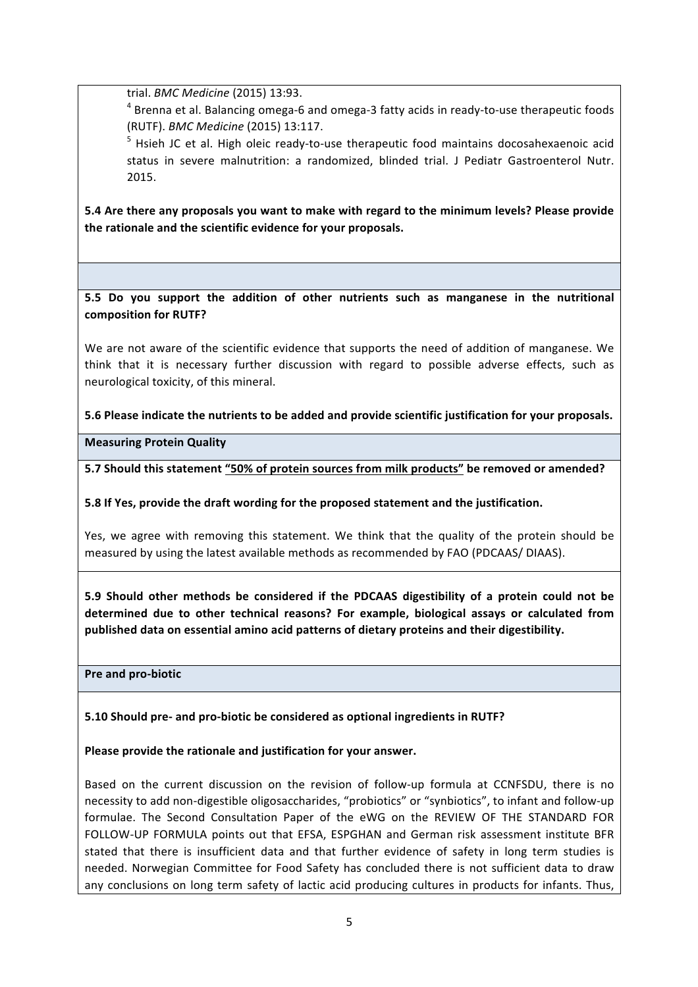trial. *BMC Medicine* (2015) 13:93. 

 $4$  Brenna et al. Balancing omega-6 and omega-3 fatty acids in ready-to-use therapeutic foods (RUTF). *BMC Medicine* (2015) 13:117.

 $5$  Hsieh JC et al. High oleic ready-to-use therapeutic food maintains docosahexaenoic acid status in severe malnutrition: a randomized, blinded trial. J Pediatr Gastroenterol Nutr. 2015.

5.4 Are there any proposals you want to make with regard to the minimum levels? Please provide the rationale and the scientific evidence for your proposals.

**5.5** Do you support the addition of other nutrients such as manganese in the nutritional composition for **RUTF?** 

We are not aware of the scientific evidence that supports the need of addition of manganese. We think that it is necessary further discussion with regard to possible adverse effects, such as neurological toxicity, of this mineral.

**5.6 Please indicate the nutrients to be added and provide scientific justification for your proposals.** 

**Measuring Protein Quality**

5.7 Should this statement "50% of protein sources from milk products" be removed or amended?

**5.8** If Yes, provide the draft wording for the proposed statement and the justification.

Yes, we agree with removing this statement. We think that the quality of the protein should be measured by using the latest available methods as recommended by FAO (PDCAAS/ DIAAS).

**5.9** Should other methods be considered if the PDCAAS digestibility of a protein could not be determined due to other technical reasons? For example, biological assays or calculated from published data on essential amino acid patterns of dietary proteins and their digestibility.

**Pre and pro-biotic** 

**5.10 Should pre- and pro-biotic be considered as optional ingredients in RUTF?**

Please provide the rationale and justification for your answer.

Based on the current discussion on the revision of follow-up formula at CCNFSDU, there is no necessity to add non-digestible oligosaccharides, "probiotics" or "synbiotics", to infant and follow-up formulae. The Second Consultation Paper of the eWG on the REVIEW OF THE STANDARD FOR FOLLOW-UP FORMULA points out that EFSA, ESPGHAN and German risk assessment institute BFR stated that there is insufficient data and that further evidence of safety in long term studies is needed. Norwegian Committee for Food Safety has concluded there is not sufficient data to draw any conclusions on long term safety of lactic acid producing cultures in products for infants. Thus,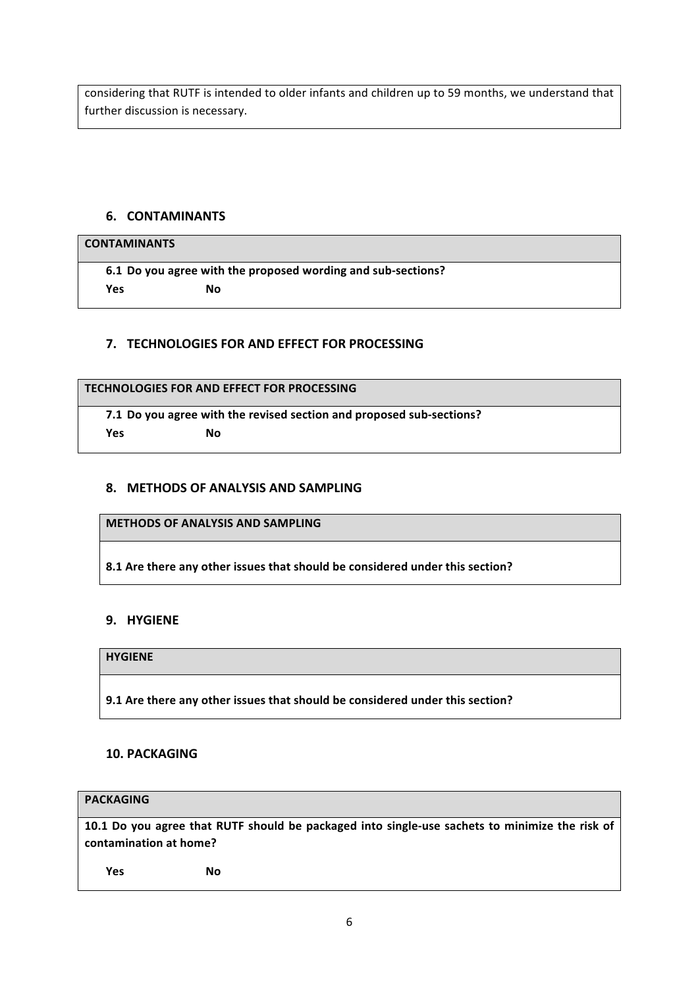considering that RUTF is intended to older infants and children up to 59 months, we understand that further discussion is necessary.

## **6. CONTAMINANTS**

## **CONTAMINANTS**

**6.1 Do you agree with the proposed wording and sub-sections?**  $Yes$  No

## **7. TECHNOLOGIES FOR AND EFFECT FOR PROCESSING**

#### **TECHNOLOGIES FOR AND EFFECT FOR PROCESSING**

**7.1** Do you agree with the revised section and proposed sub-sections? **Yes No** 

#### **8. METHODS OF ANALYSIS AND SAMPLING**

**METHODS OF ANALYSIS AND SAMPLING**

8.1 Are there any other issues that should be considered under this section?

#### **9. HYGIENE**

#### **HYGIENE**

**9.1** Are there any other issues that should be considered under this section?

#### **10. PACKAGING**

#### **PACKAGING**

10.1 Do you agree that RUTF should be packaged into single-use sachets to minimize the risk of contamination at home?

**Yes No**